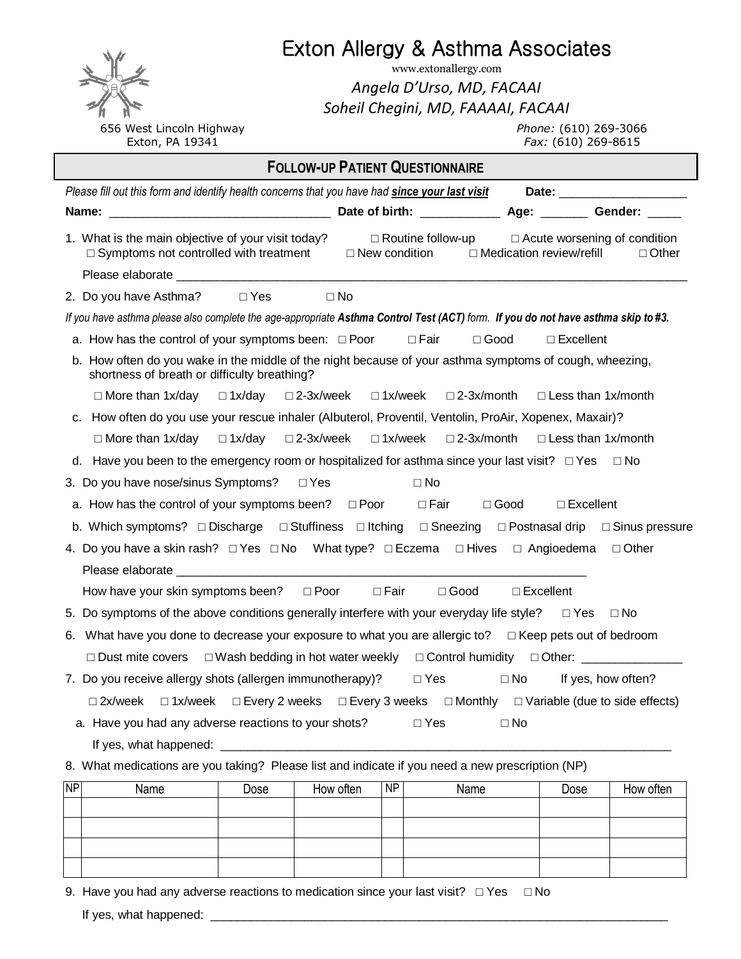|                                                                                                                                                         |                            | Exton Allergy & Asthma Associates                               |                                                                              |  |  |
|---------------------------------------------------------------------------------------------------------------------------------------------------------|----------------------------|-----------------------------------------------------------------|------------------------------------------------------------------------------|--|--|
| www.extonallergy.com                                                                                                                                    |                            |                                                                 |                                                                              |  |  |
|                                                                                                                                                         | Angela D'Urso, MD, FACAAI  |                                                                 |                                                                              |  |  |
| 656 West Lincoln Highway                                                                                                                                |                            | Soheil Chegini, MD, FAAAAI, FACAAI                              | Phone: (610) 269-3066                                                        |  |  |
| Exton, PA 19341                                                                                                                                         |                            |                                                                 | Fax: (610) 269-8615                                                          |  |  |
| <b>FOLLOW-UP PATIENT QUESTIONNAIRE</b>                                                                                                                  |                            |                                                                 |                                                                              |  |  |
| Please fill out this form and identify health concerns that you have had since your last visit                                                          |                            |                                                                 |                                                                              |  |  |
|                                                                                                                                                         |                            |                                                                 |                                                                              |  |  |
| 1. What is the main objective of your visit today?<br>□ Symptoms not controlled with treatment                                                          |                            | $\Box$ New condition $\Box$ Medication review/refill            | $\Box$ Routine follow-up $\Box$ Acute worsening of condition<br>$\Box$ Other |  |  |
|                                                                                                                                                         |                            |                                                                 |                                                                              |  |  |
| 2. Do you have Asthma? □ Yes                                                                                                                            | $\Box$ No                  |                                                                 |                                                                              |  |  |
| If you have asthma please also complete the age-appropriate Asthma Control Test (ACT) form. If you do not have asthma skip to #3.                       |                            |                                                                 |                                                                              |  |  |
| a. How has the control of your symptoms been: $\Box$ Poor $\Box$ Fair                                                                                   |                            | $\Box$ Good                                                     | $\square$ Excellent                                                          |  |  |
| b. How often do you wake in the middle of the night because of your asthma symptoms of cough, wheezing,<br>shortness of breath or difficulty breathing? |                            |                                                                 |                                                                              |  |  |
| $\Box$ More than 1x/day $\Box$ 1x/day $\Box$ 2-3x/week                                                                                                  |                            | $\Box$ 1x/week $\Box$ 2-3x/month $\Box$ Less than 1x/month      |                                                                              |  |  |
| c. How often do you use your rescue inhaler (Albuterol, Proventil, Ventolin, ProAir, Xopenex, Maxair)?                                                  |                            |                                                                 |                                                                              |  |  |
| $\Box$ More than 1x/day $\Box$ 1x/day                                                                                                                   |                            | □ 2-3x/week □ 1x/week □ 2-3x/month                              | $\Box$ Less than 1x/month                                                    |  |  |
| d. Have you been to the emergency room or hospitalized for asthma since your last visit? $\Box$ Yes $\Box$ No                                           |                            |                                                                 |                                                                              |  |  |
| 3. Do you have nose/sinus Symptoms?                                                                                                                     | ⊡ Yes                      | $\square$ No                                                    |                                                                              |  |  |
| a. How has the control of your symptoms been? $\square$ Poor $\square$ Fair $\square$ Good                                                              |                            |                                                                 | $\Box$ Excellent                                                             |  |  |
| b. Which symptoms? □ Discharge □ Stuffiness □ Itching □ Sneezing □ Postnasal drip □ Sinus pressure                                                      |                            |                                                                 |                                                                              |  |  |
| 4. Do you have a skin rash? $\Box$ Yes $\Box$ No What type? $\Box$ Eczema $\Box$ Hives $\Box$ Angioedema<br>□ Other                                     |                            |                                                                 |                                                                              |  |  |
| Please elaborate en activitativa de la construcción de la construcción de la construcción de la construcción d                                          |                            |                                                                 |                                                                              |  |  |
| How have your skin symptoms been?                                                                                                                       | $\Box$ Poor<br>$\Box$ Fair | $\square$ Good                                                  | $\square$ Excellent                                                          |  |  |
| 5. Do symptoms of the above conditions generally interfere with your everyday life style?                                                               |                            |                                                                 | $\Box$ Yes<br>$\Box$ No                                                      |  |  |
| What have you done to decrease your exposure to what you are allergic to? $\Box$ Keep pets out of bedroom<br>6.                                         |                            |                                                                 |                                                                              |  |  |
| $\Box$ Dust mite covers                                                                                                                                 |                            | $\Box$ Wash bedding in hot water weekly $\Box$ Control humidity | □ Other: <u>_______________</u>                                              |  |  |
| 7. Do you receive allergy shots (allergen immunotherapy)?                                                                                               |                            | $\Box$ Yes<br>$\square$ No                                      | If yes, how often?                                                           |  |  |
| $\Box$ 1x/week $\Box$ Every 2 weeks $\Box$ Every 3 weeks $\Box$ Monthly $\Box$ Variable (due to side effects)<br>$\square$ 2x/week                      |                            |                                                                 |                                                                              |  |  |
| a. Have you had any adverse reactions to your shots?                                                                                                    |                            | $\Box$ Yes<br>$\square$ No                                      |                                                                              |  |  |
|                                                                                                                                                         |                            |                                                                 |                                                                              |  |  |
| 8. What medications are you taking? Please list and indicate if you need a new prescription (NP)                                                        |                            |                                                                 |                                                                              |  |  |
| <b>NP</b><br>Name<br>Dose                                                                                                                               | How often<br><b>NP</b>     | Name                                                            | How often<br>Dose                                                            |  |  |
|                                                                                                                                                         |                            |                                                                 |                                                                              |  |  |
|                                                                                                                                                         |                            |                                                                 |                                                                              |  |  |
|                                                                                                                                                         |                            |                                                                 |                                                                              |  |  |
|                                                                                                                                                         |                            |                                                                 |                                                                              |  |  |

| 9. Have you had any adverse reactions to medication since your last visit? $\Box$ Yes $\Box$ No |  |
|-------------------------------------------------------------------------------------------------|--|
| If yes, what happened:                                                                          |  |